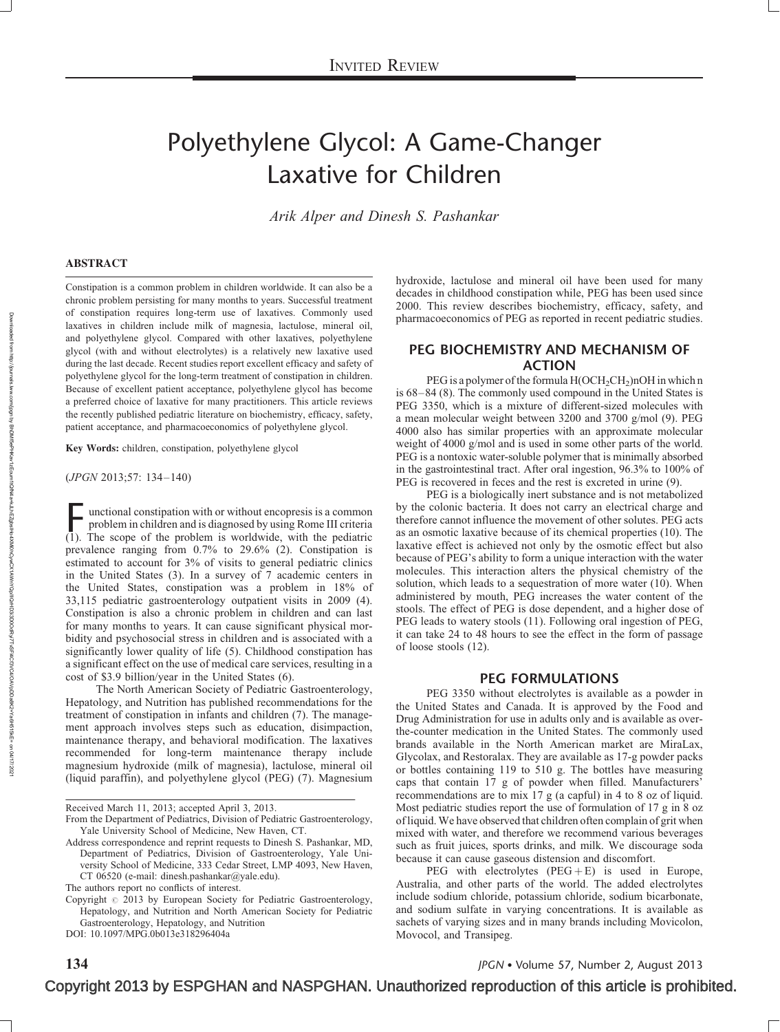# Polyethylene Glycol: A Game-Changer Laxative for Children

Arik Alper and Dinesh S. Pashankar

#### ABSTRACT

Constipation is a common problem in children worldwide. It can also be a chronic problem persisting for many months to years. Successful treatment of constipation requires long-term use of laxatives. Commonly used laxatives in children include milk of magnesia, lactulose, mineral oil, and polyethylene glycol. Compared with other laxatives, polyethylene glycol (with and without electrolytes) is a relatively new laxative used during the last decade. Recent studies report excellent efficacy and safety of polyethylene glycol for the long-term treatment of constipation in children. Because of excellent patient acceptance, polyethylene glycol has become a preferred choice of laxative for many practitioners. This article reviews the recently published pediatric literature on biochemistry, efficacy, safety, patient acceptance, and pharmacoeconomics of polyethylene glycol.

Key Words: children, constipation, polyethylene glycol

(JPGN 2013;57: 134–140)

 $\overline{\phantom{a}}$  unctional constipation with or without encopresis is a common problem in children and is diagnosed by using Rome III criteria  $(1)$ . The scope of the problem is worldwide, with the pediatric prevalence ranging from 0.7% to 29.6% (2). Constipation is estimated to account for 3% of visits to general pediatric clinics in the United States (3). In a survey of 7 academic centers in the United States, constipation was a problem in 18% of 33,115 pediatric gastroenterology outpatient visits in 2009 (4). Constipation is also a chronic problem in children and can last for many months to years. It can cause significant physical morbidity and psychosocial stress in children and is associated with a significantly lower quality of life (5). Childhood constipation has a significant effect on the use of medical care services, resulting in a cost of \$3.9 billion/year in the United States (6).

The North American Society of Pediatric Gastroenterology, Hepatology, and Nutrition has published recommendations for the treatment of constipation in infants and children (7). The management approach involves steps such as education, disimpaction, maintenance therapy, and behavioral modification. The laxatives recommended for long-term maintenance therapy include magnesium hydroxide (milk of magnesia), lactulose, mineral oil (liquid paraffin), and polyethylene glycol (PEG) (7). Magnesium

Received March 11, 2013; accepted April 3, 2013.

DOI: [10.1097/MPG.0b013e318296404a](http://dx.doi.org/10.1097/MPG.0b013e318296404a)

hydroxide, lactulose and mineral oil have been used for many decades in childhood constipation while, PEG has been used since 2000. This review describes biochemistry, efficacy, safety, and pharmacoeconomics of PEG as reported in recent pediatric studies.

#### PEG BIOCHEMISTRY AND MECHANISM OF ACTION

PEG is a polymer of the formula  $H(OCH_2CH_2)$ nOH in which n is 68–84 (8). The commonly used compound in the United States is PEG 3350, which is a mixture of different-sized molecules with a mean molecular weight between 3200 and 3700 g/mol (9). PEG 4000 also has similar properties with an approximate molecular weight of 4000 g/mol and is used in some other parts of the world. PEG is a nontoxic water-soluble polymer that is minimally absorbed in the gastrointestinal tract. After oral ingestion, 96.3% to 100% of PEG is recovered in feces and the rest is excreted in urine (9).

PEG is a biologically inert substance and is not metabolized by the colonic bacteria. It does not carry an electrical charge and therefore cannot influence the movement of other solutes. PEG acts as an osmotic laxative because of its chemical properties (10). The laxative effect is achieved not only by the osmotic effect but also because of PEG's ability to form a unique interaction with the water molecules. This interaction alters the physical chemistry of the solution, which leads to a sequestration of more water (10). When administered by mouth, PEG increases the water content of the stools. The effect of PEG is dose dependent, and a higher dose of PEG leads to watery stools (11). Following oral ingestion of PEG, it can take 24 to 48 hours to see the effect in the form of passage of loose stools (12).

#### PEG FORMULATIONS

PEG 3350 without electrolytes is available as a powder in the United States and Canada. It is approved by the Food and Drug Administration for use in adults only and is available as overthe-counter medication in the United States. The commonly used brands available in the North American market are MiraLax, Glycolax, and Restoralax. They are available as 17-g powder packs or bottles containing 119 to 510 g. The bottles have measuring caps that contain 17 g of powder when filled. Manufacturers' recommendations are to mix 17 g (a capful) in 4 to 8 oz of liquid. Most pediatric studies report the use of formulation of 17 g in 8 oz of liquid. We have observed that children often complain of grit when mixed with water, and therefore we recommend various beverages such as fruit juices, sports drinks, and milk. We discourage soda because it can cause gaseous distension and discomfort.

PEG with electrolytes  $(PEG + E)$  is used in Europe, Australia, and other parts of the world. The added electrolytes include sodium chloride, potassium chloride, sodium bicarbonate, and sodium sulfate in varying concentrations. It is available as sachets of varying sizes and in many brands including Movicolon, Movocol, and Transipeg.

134 JPGN • Volume 57, Number 2, August 2013

From the Department of Pediatrics, Division of Pediatric Gastroenterology, Yale University School of Medicine, New Haven, CT.

Address correspondence and reprint requests to Dinesh S. Pashankar, MD, Department of Pediatrics, Division of Gastroenterology, Yale University School of Medicine, 333 Cedar Street, LMP 4093, New Haven, CT 06520 (e-mail: [dinesh.pashankar@yale.edu\)](mailto:dinesh.pashankar@yale.edu).

The authors report no conflicts of interest.

Copyright  $\circ$  2013 by European Society for Pediatric Gastroenterology, Hepatology, and Nutrition and North American Society for Pediatric Gastroenterology, Hepatology, and Nutrition

Copyright 2013 by ESPGHAN and NASPGHAN. Unauthorized reproduction of this article is prohibited.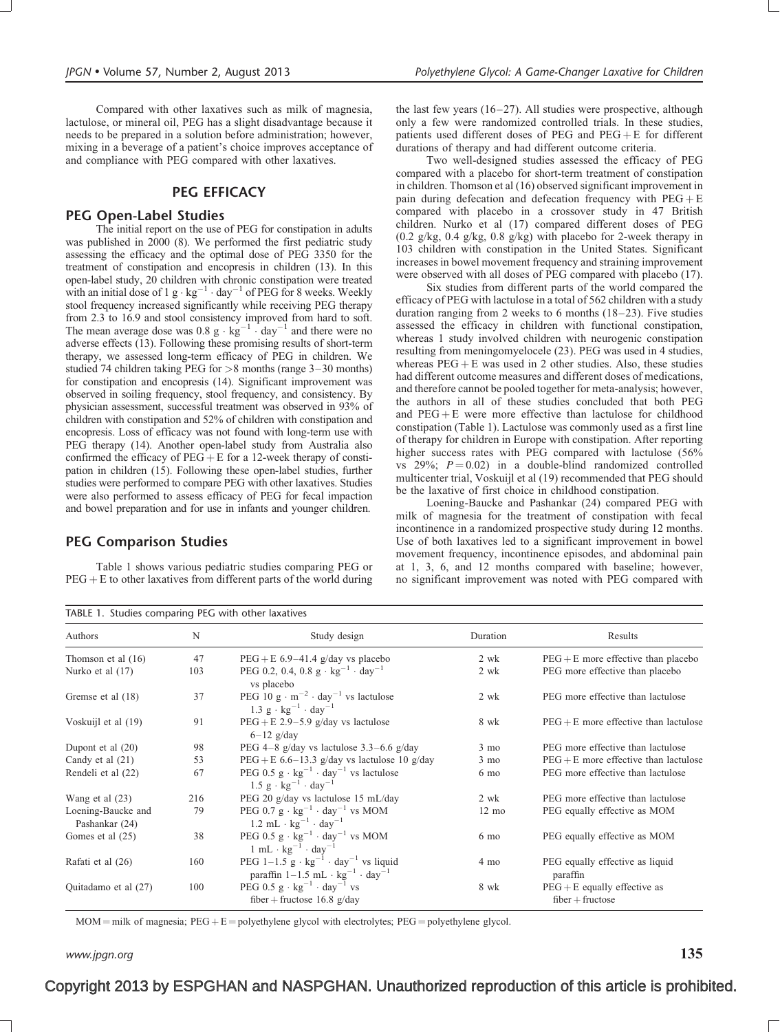Compared with other laxatives such as milk of magnesia, lactulose, or mineral oil, PEG has a slight disadvantage because it needs to be prepared in a solution before administration; however, mixing in a beverage of a patient's choice improves acceptance of and compliance with PEG compared with other laxatives.

#### PEG EFFICACY

#### PEG Open-Label Studies

The initial report on the use of PEG for constipation in adults was published in 2000 (8). We performed the first pediatric study assessing the efficacy and the optimal dose of PEG 3350 for the treatment of constipation and encopresis in children (13). In this open-label study, 20 children with chronic constipation were treated with an initial dose of 1 g  $\cdot$  kg<sup>-1</sup>  $\cdot$  day<sup>-1</sup> of PEG for 8 weeks. Weekly stool frequency increased significantly while receiving PEG therapy from 2.3 to 16.9 and stool consistency improved from hard to soft. The mean average dose was  $0.8 \text{ g} \cdot \text{kg}^{-1} \cdot \text{day}^{-1}$  and there were no adverse effects (13). Following these promising results of short-term therapy, we assessed long-term efficacy of PEG in children. We studied 74 children taking PEG for >8 months (range 3–30 months) for constipation and encopresis (14). Significant improvement was observed in soiling frequency, stool frequency, and consistency. By physician assessment, successful treatment was observed in 93% of children with constipation and 52% of children with constipation and encopresis. Loss of efficacy was not found with long-term use with PEG therapy (14). Another open-label study from Australia also confirmed the efficacy of  $PEG + E$  for a 12-week therapy of constipation in children (15). Following these open-label studies, further studies were performed to compare PEG with other laxatives. Studies were also performed to assess efficacy of PEG for fecal impaction and bowel preparation and for use in infants and younger children.

#### PEG Comparison Studies

Table 1 shows various pediatric studies comparing PEG or  $PEG + E$  to other laxatives from different parts of the world during

the last few years (16–27). All studies were prospective, although only a few were randomized controlled trials. In these studies, patients used different doses of PEG and  $PEG + E$  for different durations of therapy and had different outcome criteria.

Two well-designed studies assessed the efficacy of PEG compared with a placebo for short-term treatment of constipation in children. Thomson et al (16) observed significant improvement in pain during defecation and defecation frequency with  $PEG + E$ compared with placebo in a crossover study in 47 British children. Nurko et al (17) compared different doses of PEG  $(0.2 \text{ g/kg}, 0.4 \text{ g/kg}, 0.8 \text{ g/kg})$  with placebo for 2-week therapy in 103 children with constipation in the United States. Significant increases in bowel movement frequency and straining improvement were observed with all doses of PEG compared with placebo (17).

Six studies from different parts of the world compared the efficacy of PEG with lactulose in a total of 562 children with a study duration ranging from 2 weeks to 6 months (18–23). Five studies assessed the efficacy in children with functional constipation, whereas 1 study involved children with neurogenic constipation resulting from meningomyelocele (23). PEG was used in 4 studies, whereas  $\text{PEG} + \text{E}$  was used in 2 other studies. Also, these studies had different outcome measures and different doses of medications, and therefore cannot be pooled together for meta-analysis; however, the authors in all of these studies concluded that both PEG and  $PEG + E$  were more effective than lactulose for childhood constipation (Table 1). Lactulose was commonly used as a first line of therapy for children in Europe with constipation. After reporting higher success rates with PEG compared with lactulose (56%) vs  $29\%$ ;  $P = 0.02$ ) in a double-blind randomized controlled multicenter trial, Voskuijl et al (19) recommended that PEG should be the laxative of first choice in childhood constipation.

Loening-Baucke and Pashankar (24) compared PEG with milk of magnesia for the treatment of constipation with fecal incontinence in a randomized prospective study during 12 months. Use of both laxatives led to a significant improvement in bowel movement frequency, incontinence episodes, and abdominal pain at 1, 3, 6, and 12 months compared with baseline; however, no significant improvement was noted with PEG compared with

| TABLE 1. Studies comparing PEG with other laxatives |     |                                                                                                                                                      |                 |                                                      |  |  |
|-----------------------------------------------------|-----|------------------------------------------------------------------------------------------------------------------------------------------------------|-----------------|------------------------------------------------------|--|--|
| Authors                                             | N   | Study design                                                                                                                                         | Duration        | Results                                              |  |  |
| Thomson et al $(16)$                                | 47  | $PEG + E 6.9-41.4$ g/day vs placebo                                                                                                                  | 2 wk            | $PEG + E$ more effective than placebo                |  |  |
| Nurko et al (17)                                    | 103 | PEG 0.2, 0.4, 0.8 g $\cdot$ kg <sup>-1</sup> $\cdot$ day <sup>-1</sup><br>vs placebo                                                                 | 2 wk            | PEG more effective than placebo                      |  |  |
| Gremse et al (18)                                   | 37  | PEG 10 g $\cdot$ m <sup>-2</sup> $\cdot$ day <sup>-1</sup> vs lactulose<br>$1.3 \text{ g} \cdot \text{kg}^{-1} \cdot \text{day}^{-1}$                | 2 wk            | PEG more effective than lactulose                    |  |  |
| Voskuijl et al (19)                                 | 91  | $PEG + E 2.9 - 5.9$ g/day vs lactulose<br>$6-12$ g/day                                                                                               | 8 wk            | $PEG + E$ more effective than lactulose              |  |  |
| Dupont et al $(20)$                                 | 98  | PEG 4-8 g/day vs lactulose $3.3-6.6$ g/day                                                                                                           | $3 \text{ mo}$  | PEG more effective than lactulose                    |  |  |
| Candy et al $(21)$                                  | 53  | PEG + E 6.6–13.3 g/day vs lactulose 10 g/day                                                                                                         | $3 \text{ mo}$  | $PEG + E$ more effective than lactulose              |  |  |
| Rendeli et al (22)                                  | 67  | PEG 0.5 $g \cdot kg^{-1} \cdot day^{-1}$ vs lactulose<br>$1.5 \text{ g} \cdot \text{kg}^{-1} \cdot \text{day}^{-1}$                                  | $6 \text{ mo}$  | PEG more effective than lactulose                    |  |  |
| Wang et al $(23)$                                   | 216 | PEG 20 g/day vs lactulose 15 mL/day                                                                                                                  | 2 wk            | PEG more effective than lactulose                    |  |  |
| Loening-Baucke and<br>Pashankar (24)                | 79  | PEG 0.7 $g \cdot kg^{-1} \cdot day^{-1}$ vs MOM<br>$1.2$ mL $\cdot$ kg <sup>-1</sup> $\cdot$ day <sup>-1</sup>                                       | $12 \text{ mo}$ | PEG equally effective as MOM                         |  |  |
| Gomes et al (25)                                    | 38  | PEG 0.5 $g \cdot kg^{-1} \cdot day^{-1}$ vs MOM<br>$1 \text{ mL} \cdot \text{kg}^{-1} \cdot \text{day}^{-1}$                                         | $6 \text{ mo}$  | PEG equally effective as MOM                         |  |  |
| Rafati et al (26)                                   | 160 | PEG $1-1.5$ g $\cdot$ kg <sup>-1</sup> $\cdot$ day <sup>-1</sup> vs liquid<br>paraffin $1-1.5$ mL $\cdot$ kg <sup>-1</sup> $\cdot$ day <sup>-1</sup> | 4 mo            | PEG equally effective as liquid<br>paraffin          |  |  |
| Quitadamo et al (27)                                | 100 | PEG 0.5 $g \cdot kg^{-1} \cdot day^{-1}$ vs<br>fiber + fructose 16.8 g/day                                                                           | 8 wk            | $PEG + E$ equally effective as<br>$fiber + fructose$ |  |  |

 $MOM = milk$  of magnesia;  $PEG + E = polyethylene$  glycol with electrolytes;  $PEG = polyethylene$  glycol.

### www.jpgn.org  $135$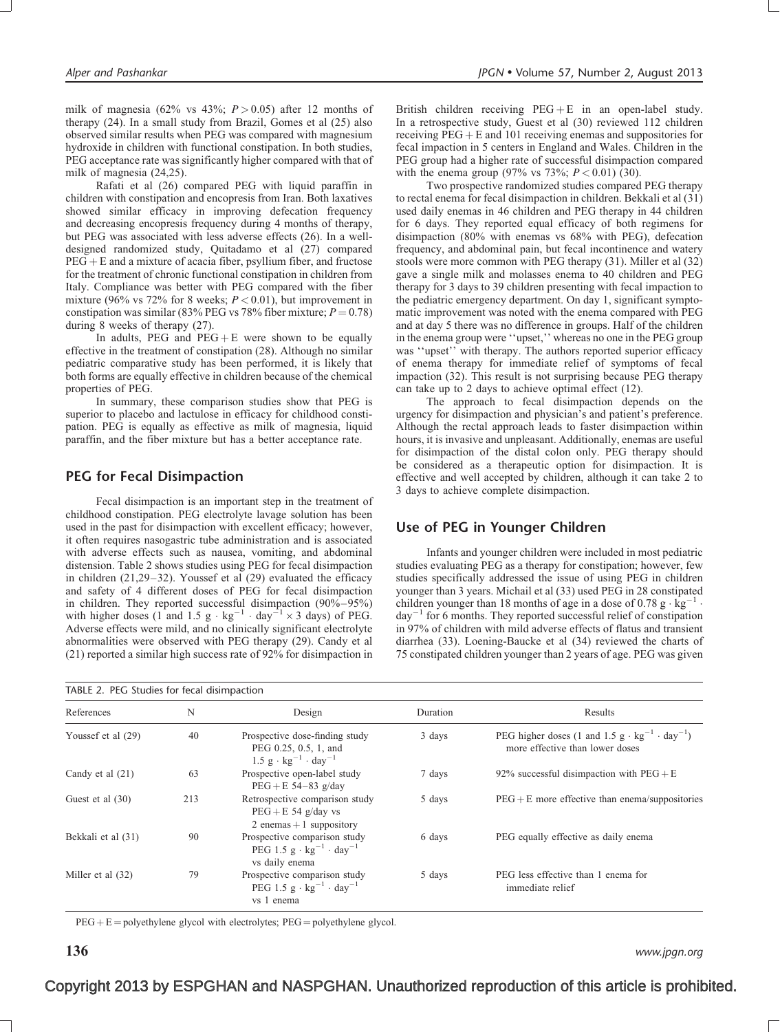milk of magnesia (62% vs  $43\%$ ;  $P > 0.05$ ) after 12 months of therapy (24). In a small study from Brazil, Gomes et al (25) also observed similar results when PEG was compared with magnesium hydroxide in children with functional constipation. In both studies, PEG acceptance rate was significantly higher compared with that of milk of magnesia (24,25).

Rafati et al (26) compared PEG with liquid paraffin in children with constipation and encopresis from Iran. Both laxatives showed similar efficacy in improving defecation frequency and decreasing encopresis frequency during 4 months of therapy, but PEG was associated with less adverse effects (26). In a welldesigned randomized study, Quitadamo et al (27) compared  $PEG + E$  and a mixture of acacia fiber, psyllium fiber, and fructose for the treatment of chronic functional constipation in children from Italy. Compliance was better with PEG compared with the fiber mixture (96% vs 72% for 8 weeks;  $P < 0.01$ ), but improvement in constipation was similar (83% PEG vs 78% fiber mixture;  $P = 0.78$ ) during 8 weeks of therapy (27).

In adults, PEG and  $PEG + E$  were shown to be equally effective in the treatment of constipation (28). Although no similar pediatric comparative study has been performed, it is likely that both forms are equally effective in children because of the chemical properties of PEG.

In summary, these comparison studies show that PEG is superior to placebo and lactulose in efficacy for childhood constipation. PEG is equally as effective as milk of magnesia, liquid paraffin, and the fiber mixture but has a better acceptance rate.

#### PEG for Fecal Disimpaction

Fecal disimpaction is an important step in the treatment of childhood constipation. PEG electrolyte lavage solution has been used in the past for disimpaction with excellent efficacy; however, it often requires nasogastric tube administration and is associated with adverse effects such as nausea, vomiting, and abdominal distension. Table 2 shows studies using PEG for fecal disimpaction in children (21,29–32). Youssef et al (29) evaluated the efficacy and safety of 4 different doses of PEG for fecal disimpaction in children. They reported successful disimpaction (90%–95%) with higher doses (1 and 1.5 g  $\cdot$  kg<sup>-1</sup>  $\cdot$  day<sup>-1</sup>  $\times$  3 days) of PEG. Adverse effects were mild, and no clinically significant electrolyte abnormalities were observed with PEG therapy (29). Candy et al (21) reported a similar high success rate of 92% for disimpaction in

British children receiving  $PEG + E$  in an open-label study. In a retrospective study, Guest et al (30) reviewed 112 children receiving  $\overline{PEG} + \overline{E}$  and 101 receiving enemas and suppositories for fecal impaction in 5 centers in England and Wales. Children in the PEG group had a higher rate of successful disimpaction compared with the enema group (97% vs 73%;  $P < 0.01$ ) (30).

Two prospective randomized studies compared PEG therapy to rectal enema for fecal disimpaction in children. Bekkali et al (31) used daily enemas in 46 children and PEG therapy in 44 children for 6 days. They reported equal efficacy of both regimens for disimpaction (80% with enemas vs 68% with PEG), defecation frequency, and abdominal pain, but fecal incontinence and watery stools were more common with PEG therapy (31). Miller et al (32) gave a single milk and molasses enema to 40 children and PEG therapy for 3 days to 39 children presenting with fecal impaction to the pediatric emergency department. On day 1, significant symptomatic improvement was noted with the enema compared with PEG and at day 5 there was no difference in groups. Half of the children in the enema group were ''upset,'' whereas no one in the PEG group was ''upset'' with therapy. The authors reported superior efficacy of enema therapy for immediate relief of symptoms of fecal impaction (32). This result is not surprising because PEG therapy can take up to 2 days to achieve optimal effect (12).

The approach to fecal disimpaction depends on the urgency for disimpaction and physician's and patient's preference. Although the rectal approach leads to faster disimpaction within hours, it is invasive and unpleasant. Additionally, enemas are useful for disimpaction of the distal colon only. PEG therapy should be considered as a therapeutic option for disimpaction. It is effective and well accepted by children, although it can take 2 to 3 days to achieve complete disimpaction.

#### Use of PEG in Younger Children

Infants and younger children were included in most pediatric studies evaluating PEG as a therapy for constipation; however, few studies specifically addressed the issue of using PEG in children younger than 3 years. Michail et al (33) used PEG in 28 constipated children younger than 18 months of age in a dose of 0.78 g  $\cdot$  kg<sup>-1</sup>  $\cdot$  $day^{-1}$  for 6 months. They reported successful relief of constipation in 97% of children with mild adverse effects of flatus and transient diarrhea (33). Loening-Baucke et al (34) reviewed the charts of 75 constipated children younger than 2 years of age. PEG was given

| TABLE 2. PEG Studies for fecal disimpaction |     |                                                                                                                       |          |                                                                                                                       |  |  |
|---------------------------------------------|-----|-----------------------------------------------------------------------------------------------------------------------|----------|-----------------------------------------------------------------------------------------------------------------------|--|--|
| References                                  | N   | Design                                                                                                                | Duration | Results                                                                                                               |  |  |
| Youssef et al (29)                          | 40  | Prospective dose-finding study<br>PEG 0.25, 0.5, 1, and<br>$1.5 \text{ g} \cdot \text{kg}^{-1} \cdot \text{day}^{-1}$ | 3 days   | PEG higher doses (1 and 1.5 g $\cdot$ kg <sup>-1</sup> $\cdot$ day <sup>-1</sup> )<br>more effective than lower doses |  |  |
| Candy et al (21)                            | 63  | Prospective open-label study<br>$PEG + E 54-83$ g/day                                                                 | 7 days   | 92% successful disimpaction with $PEG + E$                                                                            |  |  |
| Guest et al (30)                            | 213 | Retrospective comparison study<br>$PEG + E 54 g/day vs$<br>2 enemas $+1$ suppository                                  | 5 days   | $PEG + E$ more effective than enema/suppositories                                                                     |  |  |
| Bekkali et al (31)                          | 90  | Prospective comparison study<br>PEG 1.5 g $\cdot$ kg <sup>-1</sup> $\cdot$ day <sup>-1</sup><br>vs daily enema        | 6 days   | PEG equally effective as daily enema                                                                                  |  |  |
| Miller et al (32)                           | 79  | Prospective comparison study<br>PEG 1.5 $g \cdot kg^{-1} \cdot day^{-1}$<br>vs 1 enema                                | 5 days   | PEG less effective than 1 enema for<br>immediate relief                                                               |  |  |

 $PEG + E = polyethylene glycol with electrolytes; PEG = polyethylene glycol.$ 

 $136$  www.jpgn.org www.jpgn.org www.jpgn.org www.jpgn.org www.jpgn.org www.jpgn.org  $\,$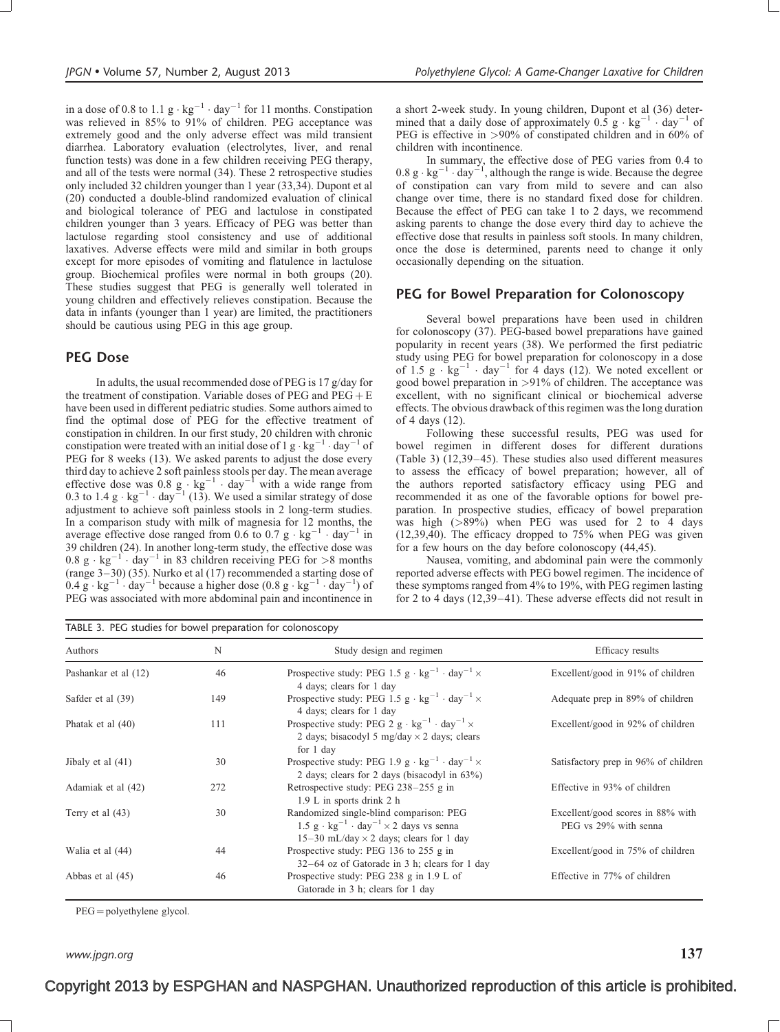in a dose of 0.8 to 1.1  $g \cdot kg^{-1} \cdot day^{-1}$  for 11 months. Constipation was relieved in 85% to 91% of children. PEG acceptance was extremely good and the only adverse effect was mild transient diarrhea. Laboratory evaluation (electrolytes, liver, and renal function tests) was done in a few children receiving PEG therapy, and all of the tests were normal (34). These 2 retrospective studies only included 32 children younger than 1 year (33,34). Dupont et al (20) conducted a double-blind randomized evaluation of clinical and biological tolerance of PEG and lactulose in constipated children younger than 3 years. Efficacy of PEG was better than lactulose regarding stool consistency and use of additional laxatives. Adverse effects were mild and similar in both groups except for more episodes of vomiting and flatulence in lactulose group. Biochemical profiles were normal in both groups (20). These studies suggest that PEG is generally well tolerated in young children and effectively relieves constipation. Because the data in infants (younger than 1 year) are limited, the practitioners should be cautious using PEG in this age group.

#### PEG Dose

In adults, the usual recommended dose of PEG is 17 g/day for the treatment of constipation. Variable doses of PEG and  $PEG + E$ have been used in different pediatric studies. Some authors aimed to find the optimal dose of PEG for the effective treatment of constipation in children. In our first study, 20 children with chronic constipation were treated with an initial dose of 1 g  $\cdot$  kg<sup>-1</sup>  $\cdot$  day<sup>-1</sup> of PEG for 8 weeks (13). We asked parents to adjust the dose every third day to achieve 2 soft painless stools per day. The mean average effective dose was 0.8 g  $\cdot$  kg<sup>-1</sup>  $\cdot$  day<sup>-1</sup> with a wide range from 0.3 to 1.4  $g \cdot kg^{-1} \cdot day^{-1}$  (13). We used a similar strategy of dose adjustment to achieve soft painless stools in 2 long-term studies. In a comparison study with milk of magnesia for 12 months, the average effective dose ranged from 0.6 to 0.7  $g \cdot kg^{-1} \cdot day^{-1}$  in 39 children (24). In another long-term study, the effective dose was  $0.8 \text{ g} \cdot \text{kg}^{-1} \cdot \text{day}^{-1}$  in 83 children receiving PEG for >8 months (range 3–30) (35). Nurko et al (17) recommended a starting dose of  $0.4 \text{ g} \cdot \text{kg}^{-1} \cdot \text{day}^{-1}$  because a higher dose  $(0.8 \text{ g} \cdot \text{kg}^{-1} \cdot \text{day}^{-1})$  of PEG was associated with more abdominal pain and incontinence in a short 2-week study. In young children, Dupont et al (36) determined that a daily dose of approximately  $0.5 \text{ g} \cdot \text{kg}^{-1} \cdot \text{day}^{-1}$  of PEG is effective in >90% of constipated children and in 60% of children with incontinence.

In summary, the effective dose of PEG varies from 0.4 to  $0.8 \text{ g} \cdot \text{kg}^{-1} \cdot \text{day}^{-1}$ , although the range is wide. Because the degree of constipation can vary from mild to severe and can also change over time, there is no standard fixed dose for children. Because the effect of PEG can take 1 to 2 days, we recommend asking parents to change the dose every third day to achieve the effective dose that results in painless soft stools. In many children, once the dose is determined, parents need to change it only occasionally depending on the situation.

#### PEG for Bowel Preparation for Colonoscopy

Several bowel preparations have been used in children for colonoscopy (37). PEG-based bowel preparations have gained popularity in recent years (38). We performed the first pediatric study using PEG for bowel preparation for colonoscopy in a dose of 1.5  $g \cdot kg^{-1} \cdot day^{-1}$  for 4 days (12). We noted excellent or good bowel preparation in >91% of children. The acceptance was excellent, with no significant clinical or biochemical adverse effects. The obvious drawback of this regimen was the long duration of 4 days (12).

Following these successful results, PEG was used for bowel regimen in different doses for different durations (Table 3) (12,39–45). These studies also used different measures to assess the efficacy of bowel preparation; however, all of the authors reported satisfactory efficacy using PEG and recommended it as one of the favorable options for bowel preparation. In prospective studies, efficacy of bowel preparation was high (>89%) when PEG was used for 2 to 4 days (12,39,40). The efficacy dropped to 75% when PEG was given for a few hours on the day before colonoscopy (44,45).

Nausea, vomiting, and abdominal pain were the commonly reported adverse effects with PEG bowel regimen. The incidence of these symptoms ranged from 4% to 19%, with PEG regimen lasting for 2 to 4 days (12,39–41). These adverse effects did not result in

| TABLE 3. PEG studies for bowel preparation for colonoscopy |     |                                                                                                                                                             |                                                            |  |  |
|------------------------------------------------------------|-----|-------------------------------------------------------------------------------------------------------------------------------------------------------------|------------------------------------------------------------|--|--|
| Authors                                                    | N   | Study design and regimen                                                                                                                                    | Efficacy results                                           |  |  |
| Pashankar et al (12)                                       | 46  | Prospective study: PEG 1.5 $g \cdot kg^{-1} \cdot day^{-1} \times$<br>4 days; clears for 1 day                                                              | Excellent/good in 91% of children                          |  |  |
| Safder et al (39)                                          | 149 | Prospective study: PEG 1.5 $g \cdot kg^{-1} \cdot day^{-1} \times$<br>4 days; clears for 1 day                                                              | Adequate prep in 89% of children                           |  |  |
| Phatak et al (40)                                          | 111 | Prospective study: PEG 2 g $\cdot$ kg <sup>-1</sup> $\cdot$ day <sup>-1</sup> $\times$<br>2 days; bisacodyl 5 mg/day $\times$ 2 days; clears<br>for 1 day   | Excellent/good in 92% of children                          |  |  |
| Jibaly et al (41)                                          | 30  | Prospective study: PEG 1.9 $g \cdot kg^{-1} \cdot day^{-1} \times$<br>2 days; clears for 2 days (bisacodyl in 63%)                                          | Satisfactory prep in 96% of children                       |  |  |
| Adamiak et al (42)                                         | 272 | Retrospective study: PEG 238-255 g in<br>1.9 L in sports drink 2 h                                                                                          | Effective in 93% of children                               |  |  |
| Terry et al $(43)$                                         | 30  | Randomized single-blind comparison: PEG<br>1.5 g · $\text{kg}^{-1}$ · day <sup>-1</sup> × 2 days vs senna<br>15–30 mL/day $\times$ 2 days; clears for 1 day | Excellent/good scores in 88% with<br>PEG vs 29% with senna |  |  |
| Walia et al (44)                                           | 44  | Prospective study: PEG 136 to 255 g in<br>$32-64$ oz of Gatorade in 3 h; clears for 1 day                                                                   | Excellent/good in 75% of children                          |  |  |
| Abbas et al (45)                                           | 46  | Prospective study: PEG 238 g in 1.9 L of<br>Gatorade in 3 h; clears for 1 day                                                                               | Effective in 77% of children                               |  |  |

 $PEG = polyethylene glycol.$ 

www.jpgn.org  $137$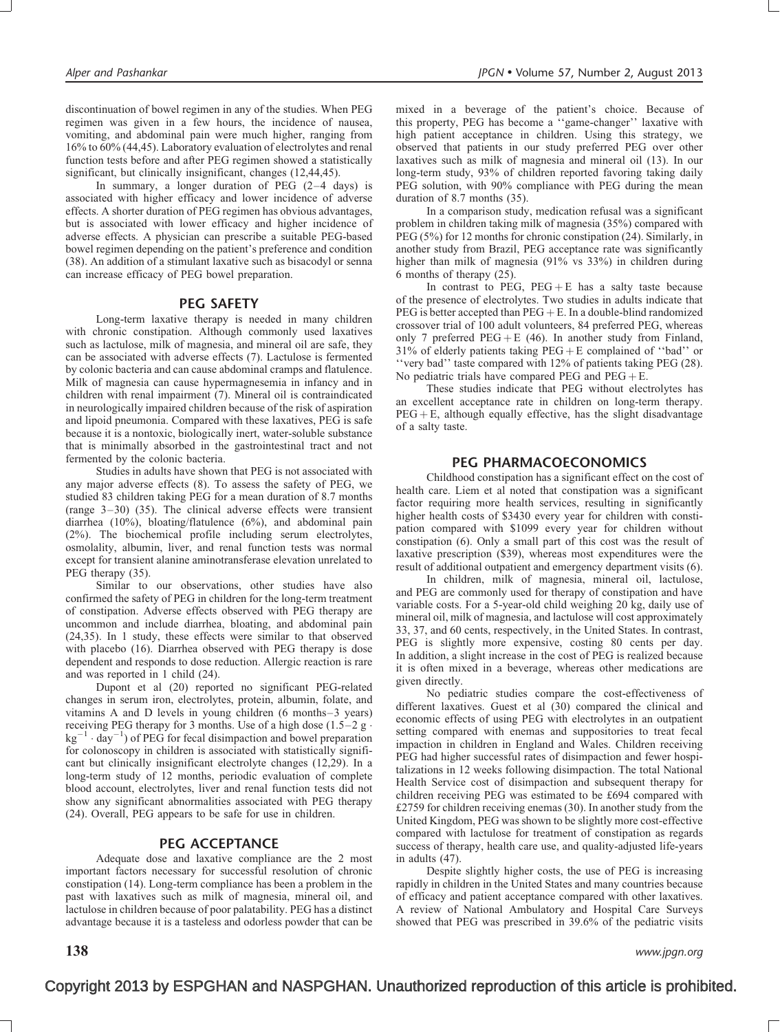discontinuation of bowel regimen in any of the studies. When PEG regimen was given in a few hours, the incidence of nausea, vomiting, and abdominal pain were much higher, ranging from 16% to 60% (44,45). Laboratory evaluation of electrolytes and renal function tests before and after PEG regimen showed a statistically significant, but clinically insignificant, changes (12,44,45).

In summary, a longer duration of PEG  $(2-4 \text{ days})$  is associated with higher efficacy and lower incidence of adverse effects. A shorter duration of PEG regimen has obvious advantages, but is associated with lower efficacy and higher incidence of adverse effects. A physician can prescribe a suitable PEG-based bowel regimen depending on the patient's preference and condition (38). An addition of a stimulant laxative such as bisacodyl or senna can increase efficacy of PEG bowel preparation.

#### PEG SAFETY

Long-term laxative therapy is needed in many children with chronic constipation. Although commonly used laxatives such as lactulose, milk of magnesia, and mineral oil are safe, they can be associated with adverse effects (7). Lactulose is fermented by colonic bacteria and can cause abdominal cramps and flatulence. Milk of magnesia can cause hypermagnesemia in infancy and in children with renal impairment (7). Mineral oil is contraindicated in neurologically impaired children because of the risk of aspiration and lipoid pneumonia. Compared with these laxatives, PEG is safe because it is a nontoxic, biologically inert, water-soluble substance that is minimally absorbed in the gastrointestinal tract and not fermented by the colonic bacteria.

Studies in adults have shown that PEG is not associated with any major adverse effects (8). To assess the safety of PEG, we studied 83 children taking PEG for a mean duration of 8.7 months (range 3–30) (35). The clinical adverse effects were transient diarrhea (10%), bloating/flatulence (6%), and abdominal pain (2%). The biochemical profile including serum electrolytes, osmolality, albumin, liver, and renal function tests was normal except for transient alanine aminotransferase elevation unrelated to PEG therapy  $(35)$ .

Similar to our observations, other studies have also confirmed the safety of PEG in children for the long-term treatment of constipation. Adverse effects observed with PEG therapy are uncommon and include diarrhea, bloating, and abdominal pain (24,35). In 1 study, these effects were similar to that observed with placebo (16). Diarrhea observed with PEG therapy is dose dependent and responds to dose reduction. Allergic reaction is rare and was reported in 1 child (24).

Dupont et al (20) reported no significant PEG-related changes in serum iron, electrolytes, protein, albumin, folate, and vitamins A and D levels in young children (6 months–3 years) receiving PEG therapy for 3 months. Use of a high dose  $(1.5-2 \text{ g} \cdot$  $kg^{-1} \cdot day^{-1}$ ) of PEG for fecal disimpaction and bowel preparation for colonoscopy in children is associated with statistically significant but clinically insignificant electrolyte changes (12,29). In a long-term study of 12 months, periodic evaluation of complete blood account, electrolytes, liver and renal function tests did not show any significant abnormalities associated with PEG therapy (24). Overall, PEG appears to be safe for use in children.

#### PEG ACCEPTANCE

Adequate dose and laxative compliance are the 2 most important factors necessary for successful resolution of chronic constipation (14). Long-term compliance has been a problem in the past with laxatives such as milk of magnesia, mineral oil, and lactulose in children because of poor palatability. PEG has a distinct advantage because it is a tasteless and odorless powder that can be

mixed in a beverage of the patient's choice. Because of this property, PEG has become a ''game-changer'' laxative with high patient acceptance in children. Using this strategy, we observed that patients in our study preferred PEG over other laxatives such as milk of magnesia and mineral oil (13). In our long-term study, 93% of children reported favoring taking daily PEG solution, with 90% compliance with PEG during the mean duration of 8.7 months (35).

In a comparison study, medication refusal was a significant problem in children taking milk of magnesia (35%) compared with PEG (5%) for 12 months for chronic constipation (24). Similarly, in another study from Brazil, PEG acceptance rate was significantly higher than milk of magnesia (91% vs 33%) in children during 6 months of therapy (25).

In contrast to PEG,  $PEG + E$  has a salty taste because of the presence of electrolytes. Two studies in adults indicate that  $PEG$  is better accepted than  $PEG + E$ . In a double-blind randomized crossover trial of 100 adult volunteers, 84 preferred PEG, whereas only 7 preferred  $PEG + E (46)$ . In another study from Finland, 31% of elderly patients taking  $PEG + E$  complained of "bad" or ''very bad'' taste compared with 12% of patients taking PEG (28). No pediatric trials have compared PEG and  $PEG + E$ .

These studies indicate that PEG without electrolytes has an excellent acceptance rate in children on long-term therapy.  $PEG + E$ , although equally effective, has the slight disadvantage of a salty taste.

#### PEG PHARMACOECONOMICS

Childhood constipation has a significant effect on the cost of health care. Liem et al noted that constipation was a significant factor requiring more health services, resulting in significantly higher health costs of \$3430 every year for children with constipation compared with \$1099 every year for children without constipation (6). Only a small part of this cost was the result of laxative prescription (\$39), whereas most expenditures were the result of additional outpatient and emergency department visits (6).

In children, milk of magnesia, mineral oil, lactulose, and PEG are commonly used for therapy of constipation and have variable costs. For a 5-year-old child weighing 20 kg, daily use of mineral oil, milk of magnesia, and lactulose will cost approximately 33, 37, and 60 cents, respectively, in the United States. In contrast, PEG is slightly more expensive, costing 80 cents per day. In addition, a slight increase in the cost of PEG is realized because it is often mixed in a beverage, whereas other medications are given directly.

No pediatric studies compare the cost-effectiveness of different laxatives. Guest et al (30) compared the clinical and economic effects of using PEG with electrolytes in an outpatient setting compared with enemas and suppositories to treat fecal impaction in children in England and Wales. Children receiving PEG had higher successful rates of disimpaction and fewer hospitalizations in 12 weeks following disimpaction. The total National Health Service cost of disimpaction and subsequent therapy for children receiving PEG was estimated to be £694 compared with £2759 for children receiving enemas (30). In another study from the United Kingdom, PEG was shown to be slightly more cost-effective compared with lactulose for treatment of constipation as regards success of therapy, health care use, and quality-adjusted life-years in adults (47).

Despite slightly higher costs, the use of PEG is increasing rapidly in children in the United States and many countries because of efficacy and patient acceptance compared with other laxatives. A review of National Ambulatory and Hospital Care Surveys showed that PEG was prescribed in 39.6% of the pediatric visits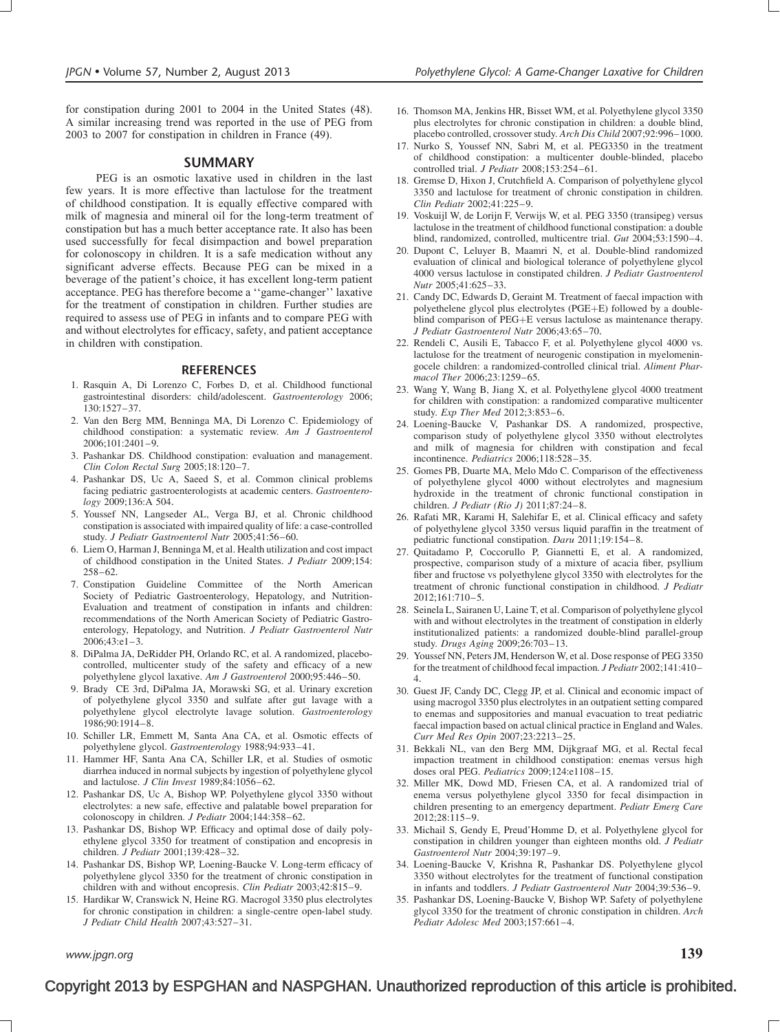for constipation during 2001 to 2004 in the United States (48). A similar increasing trend was reported in the use of PEG from 2003 to 2007 for constipation in children in France (49).

#### SUMMARY

PEG is an osmotic laxative used in children in the last few years. It is more effective than lactulose for the treatment of childhood constipation. It is equally effective compared with milk of magnesia and mineral oil for the long-term treatment of constipation but has a much better acceptance rate. It also has been used successfully for fecal disimpaction and bowel preparation for colonoscopy in children. It is a safe medication without any significant adverse effects. Because PEG can be mixed in a beverage of the patient's choice, it has excellent long-term patient acceptance. PEG has therefore become a ''game-changer'' laxative for the treatment of constipation in children. Further studies are required to assess use of PEG in infants and to compare PEG with and without electrolytes for efficacy, safety, and patient acceptance in children with constipation.

#### **REFERENCES**

- 1. Rasquin A, Di Lorenzo C, Forbes D, et al. Childhood functional gastrointestinal disorders: child/adolescent. Gastroenterology 2006; 130:1527–37.
- 2. Van den Berg MM, Benninga MA, Di Lorenzo C. Epidemiology of childhood constipation: a systematic review. Am J Gastroenterol 2006;101:2401–9.
- 3. Pashankar DS. Childhood constipation: evaluation and management. Clin Colon Rectal Surg 2005;18:120–7.
- 4. Pashankar DS, Uc A, Saeed S, et al. Common clinical problems facing pediatric gastroenterologists at academic centers. Gastroenterology 2009;136:A 504.
- 5. Youssef NN, Langseder AL, Verga BJ, et al. Chronic childhood constipation is associated with impaired quality of life: a case-controlled study. J Pediatr Gastroenterol Nutr 2005;41:56–60.
- 6. Liem O, Harman J, Benninga M, et al. Health utilization and cost impact of childhood constipation in the United States. J Pediatr 2009;154: 258–62.
- 7. Constipation Guideline Committee of the North American Society of Pediatric Gastroenterology, Hepatology, and Nutrition-Evaluation and treatment of constipation in infants and children: recommendations of the North American Society of Pediatric Gastroenterology, Hepatology, and Nutrition. J Pediatr Gastroenterol Nutr 2006;43:e1–3.
- 8. DiPalma JA, DeRidder PH, Orlando RC, et al. A randomized, placebocontrolled, multicenter study of the safety and efficacy of a new polyethylene glycol laxative. Am J Gastroenterol 2000;95:446–50.
- 9. Brady CE 3rd, DiPalma JA, Morawski SG, et al. Urinary excretion of polyethylene glycol 3350 and sulfate after gut lavage with a polyethylene glycol electrolyte lavage solution. Gastroenterology 1986;90:1914–8.
- 10. Schiller LR, Emmett M, Santa Ana CA, et al. Osmotic effects of polyethylene glycol. Gastroenterology 1988;94:933–41.
- 11. Hammer HF, Santa Ana CA, Schiller LR, et al. Studies of osmotic diarrhea induced in normal subjects by ingestion of polyethylene glycol and lactulose. J Clin Invest 1989;84:1056–62.
- 12. Pashankar DS, Uc A, Bishop WP. Polyethylene glycol 3350 without electrolytes: a new safe, effective and palatable bowel preparation for colonoscopy in children. J Pediatr 2004;144:358-62.
- 13. Pashankar DS, Bishop WP. Efficacy and optimal dose of daily polyethylene glycol 3350 for treatment of constipation and encopresis in children. J Pediatr 2001;139:428–32.
- 14. Pashankar DS, Bishop WP, Loening-Baucke V. Long-term efficacy of polyethylene glycol 3350 for the treatment of chronic constipation in children with and without encopresis. Clin Pediatr 2003;42:815–9.
- 15. Hardikar W, Cranswick N, Heine RG. Macrogol 3350 plus electrolytes for chronic constipation in children: a single-centre open-label study. J Pediatr Child Health 2007;43:527–31.

16. Thomson MA, Jenkins HR, Bisset WM, et al. Polyethylene glycol 3350 plus electrolytes for chronic constipation in children: a double blind, placebo controlled, crossover study. Arch Dis Child 2007;92:996–1000.

- 17. Nurko S, Youssef NN, Sabri M, et al. PEG3350 in the treatment of childhood constipation: a multicenter double-blinded, placebo controlled trial. J Pediatr 2008;153:254–61.
- 18. Gremse D, Hixon J, Crutchfield A. Comparison of polyethylene glycol 3350 and lactulose for treatment of chronic constipation in children. Clin Pediatr 2002;41:225–9.
- 19. Voskuijl W, de Lorijn F, Verwijs W, et al. PEG 3350 (transipeg) versus lactulose in the treatment of childhood functional constipation: a double blind, randomized, controlled, multicentre trial. Gut 2004;53:1590–4.
- 20. Dupont C, Leluyer B, Maamri N, et al. Double-blind randomized evaluation of clinical and biological tolerance of polyethylene glycol 4000 versus lactulose in constipated children. J Pediatr Gastroenterol Nutr 2005;41:625–33.
- 21. Candy DC, Edwards D, Geraint M. Treatment of faecal impaction with polyethelene glycol plus electrolytes (PGE+E) followed by a doubleblind comparison of PEG+E versus lactulose as maintenance therapy. J Pediatr Gastroenterol Nutr 2006;43:65–70.
- 22. Rendeli C, Ausili E, Tabacco F, et al. Polyethylene glycol 4000 vs. lactulose for the treatment of neurogenic constipation in myelomeningocele children: a randomized-controlled clinical trial. Aliment Pharmacol Ther 2006;23:1259–65.
- 23. Wang Y, Wang B, Jiang X, et al. Polyethylene glycol 4000 treatment for children with constipation: a randomized comparative multicenter study. Exp Ther Med 2012;3:853–6.
- 24. Loening-Baucke V, Pashankar DS. A randomized, prospective, comparison study of polyethylene glycol 3350 without electrolytes and milk of magnesia for children with constipation and fecal incontinence. Pediatrics 2006;118:528–35.
- 25. Gomes PB, Duarte MA, Melo Mdo C. Comparison of the effectiveness of polyethylene glycol 4000 without electrolytes and magnesium hydroxide in the treatment of chronic functional constipation in children. J Pediatr (Rio J) 2011;87:24–8.
- 26. Rafati MR, Karami H, Salehifar E, et al. Clinical efficacy and safety of polyethylene glycol 3350 versus liquid paraffin in the treatment of pediatric functional constipation. Daru 2011;19:154–8.
- 27. Quitadamo P, Coccorullo P, Giannetti E, et al. A randomized, prospective, comparison study of a mixture of acacia fiber, psyllium fiber and fructose vs polyethylene glycol 3350 with electrolytes for the treatment of chronic functional constipation in childhood. J Pediatr  $2012:161:710-5$
- 28. Seinela L, Sairanen U, Laine T, et al. Comparison of polyethylene glycol with and without electrolytes in the treatment of constipation in elderly institutionalized patients: a randomized double-blind parallel-group study. Drugs Aging 2009;26:703–13.
- 29. Youssef NN, Peters JM, Henderson W, et al. Dose response of PEG 3350 for the treatment of childhood fecal impaction. J Pediatr 2002;141:410– 4.
- 30. Guest JF, Candy DC, Clegg JP, et al. Clinical and economic impact of using macrogol 3350 plus electrolytes in an outpatient setting compared to enemas and suppositories and manual evacuation to treat pediatric faecal impaction based on actual clinical practice in England and Wales. Curr Med Res Opin 2007;23:2213–25.
- 31. Bekkali NL, van den Berg MM, Dijkgraaf MG, et al. Rectal fecal impaction treatment in childhood constipation: enemas versus high doses oral PEG. Pediatrics 2009;124:e1108–15.
- 32. Miller MK, Dowd MD, Friesen CA, et al. A randomized trial of enema versus polyethylene glycol 3350 for fecal disimpaction in children presenting to an emergency department. Pediatr Emerg Care 2012;28:115–9.
- 33. Michail S, Gendy E, Preud'Homme D, et al. Polyethylene glycol for constipation in children younger than eighteen months old. J Pediatr Gastroenterol Nutr 2004;39:197–9.
- 34. Loening-Baucke V, Krishna R, Pashankar DS. Polyethylene glycol 3350 without electrolytes for the treatment of functional constipation in infants and toddlers. J Pediatr Gastroenterol Nutr 2004;39:536–9.
- 35. Pashankar DS, Loening-Baucke V, Bishop WP. Safety of polyethylene glycol 3350 for the treatment of chronic constipation in children. Arch Pediatr Adolesc Med 2003;157:661–4.

www.jpgn.org  $139$